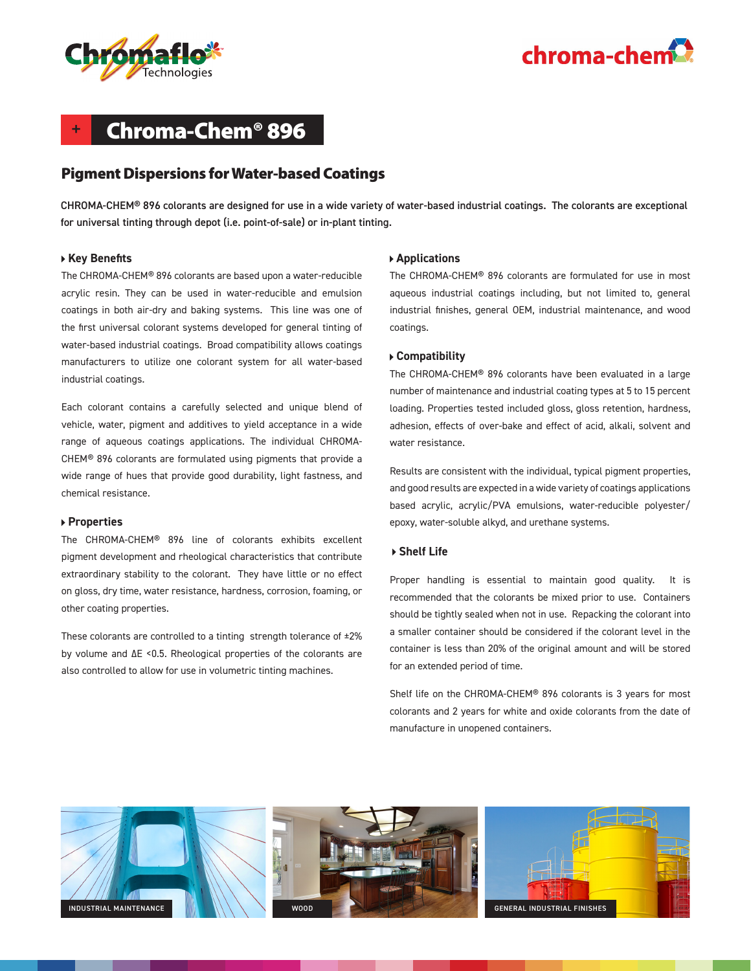



## **+** Chroma-Chem® 896

## Pigment Dispersions for Water-based Coatings

CHROMA-CHEM® 896 colorants are designed for use in a wide variety of water-based industrial coatings. The colorants are exceptional for universal tinting through depot (i.e. point-of-sale) or in-plant tinting.

#### **Key Benefits**

The CHROMA-CHEM® 896 colorants are based upon a water-reducible acrylic resin. They can be used in water-reducible and emulsion coatings in both air-dry and baking systems. This line was one of the first universal colorant systems developed for general tinting of water-based industrial coatings. Broad compatibility allows coatings manufacturers to utilize one colorant system for all water-based industrial coatings.

Each colorant contains a carefully selected and unique blend of vehicle, water, pigment and additives to yield acceptance in a wide range of aqueous coatings applications. The individual CHROMA-CHEM® 896 colorants are formulated using pigments that provide a wide range of hues that provide good durability, light fastness, and chemical resistance.

#### **Properties**

The CHROMA-CHEM® 896 line of colorants exhibits excellent pigment development and rheological characteristics that contribute extraordinary stability to the colorant. They have little or no effect on gloss, dry time, water resistance, hardness, corrosion, foaming, or other coating properties.

These colorants are controlled to a tinting strength tolerance of ±2% by volume and ΔE <0.5. Rheological properties of the colorants are also controlled to allow for use in volumetric tinting machines.

#### **Applications**

The CHROMA-CHEM® 896 colorants are formulated for use in most aqueous industrial coatings including, but not limited to, general industrial finishes, general OEM, industrial maintenance, and wood coatings.

#### **Compatibility**

The CHROMA-CHEM® 896 colorants have been evaluated in a large number of maintenance and industrial coating types at 5 to 15 percent loading. Properties tested included gloss, gloss retention, hardness, adhesion, effects of over-bake and effect of acid, alkali, solvent and water resistance.

Results are consistent with the individual, typical pigment properties, and good results are expected in a wide variety of coatings applications based acrylic, acrylic/PVA emulsions, water-reducible polyester/ epoxy, water-soluble alkyd, and urethane systems.

#### **Shelf Life**

Proper handling is essential to maintain good quality. It is recommended that the colorants be mixed prior to use. Containers should be tightly sealed when not in use. Repacking the colorant into a smaller container should be considered if the colorant level in the container is less than 20% of the original amount and will be stored for an extended period of time.

Shelf life on the CHROMA-CHEM® 896 colorants is 3 years for most colorants and 2 years for white and oxide colorants from the date of manufacture in unopened containers.